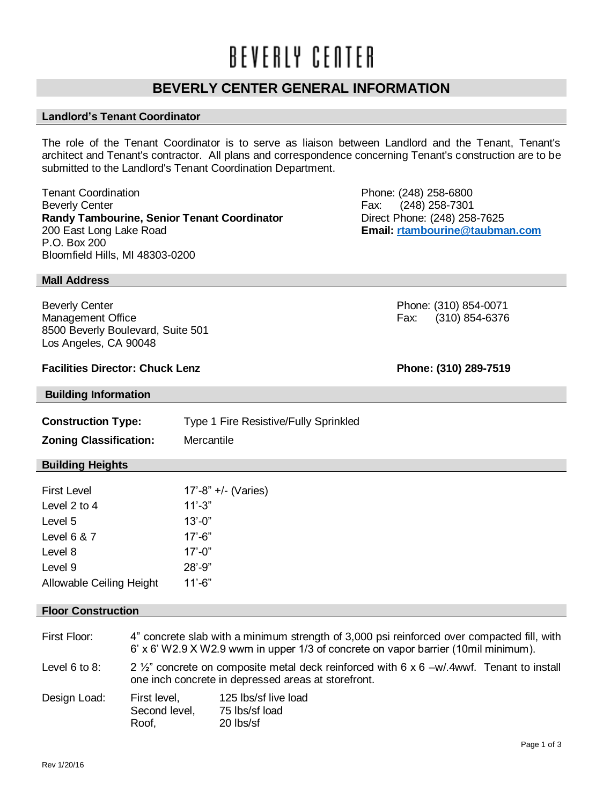# BEVERLY CENTER

# **BEVERLY CENTER GENERAL INFORMATION**

# **Landlord's Tenant Coordinator**

The role of the Tenant Coordinator is to serve as liaison between Landlord and the Tenant, Tenant's architect and Tenant's contractor. All plans and correspondence concerning Tenant's construction are to be submitted to the Landlord's Tenant Coordination Department.

Tenant Coordination **Tenant Coordination**<br>Beverly Center Phone: (248) 258-6800<br>
Pax: (248) 258-7301 **Randy Tambourine, Senior Tenant Coordinator** Direct Phone: (248) 258-7625 200 East Long Lake Road **Email: [rtambourine@taubman.com](mailto:rtambourine@taubman.com)** P.O. Box 200 Bloomfield Hills, MI 48303-0200

Fax: (248) 258-7301

Beverly Center **Phone: (310) 854-0071** Management Office Fax: (310) 854-6376

## **Facilities Director: Chuck Lenz Phone: (310) 289-7519**

8500 Beverly Boulevard, Suite 501

### **Building Information**

Los Angeles, CA 90048

| <b>Construction Type:</b>     | Type 1 Fire Resistive/Fully Sprinkled |
|-------------------------------|---------------------------------------|
| <b>Zoning Classification:</b> | Mercantile                            |

#### **Building Heights**

**Mall Address**

| <b>First Level</b>              | $17' - 8'' + (-$ (Varies) |
|---------------------------------|---------------------------|
| Level 2 to 4                    | $11' - 3"$                |
| Level 5                         | $13' - 0''$               |
| Level $6 & 7$                   | $17'$ -6"                 |
| Level 8                         | $17' - 0''$               |
| Level 9                         | $28' - 9''$               |
| <b>Allowable Ceiling Height</b> | 11'-6"                    |

#### **Floor Construction**

| First Floor:       | 4" concrete slab with a minimum strength of 3,000 psi reinforced over compacted fill, with<br>6' x 6' W2.9 X W2.9 wwm in upper 1/3 of concrete on vapor barrier (10mil minimum). |                                                     |
|--------------------|----------------------------------------------------------------------------------------------------------------------------------------------------------------------------------|-----------------------------------------------------|
| Level $6$ to $8$ : | 2 $\frac{1}{2}$ concrete on composite metal deck reinforced with 6 x 6 -w/.4wwf. Tenant to install<br>one inch concrete in depressed areas at storefront.                        |                                                     |
| Design Load:       | First level,<br>Second level,<br>Roof,                                                                                                                                           | 125 lbs/sf live load<br>75 lbs/sf load<br>20 lbs/sf |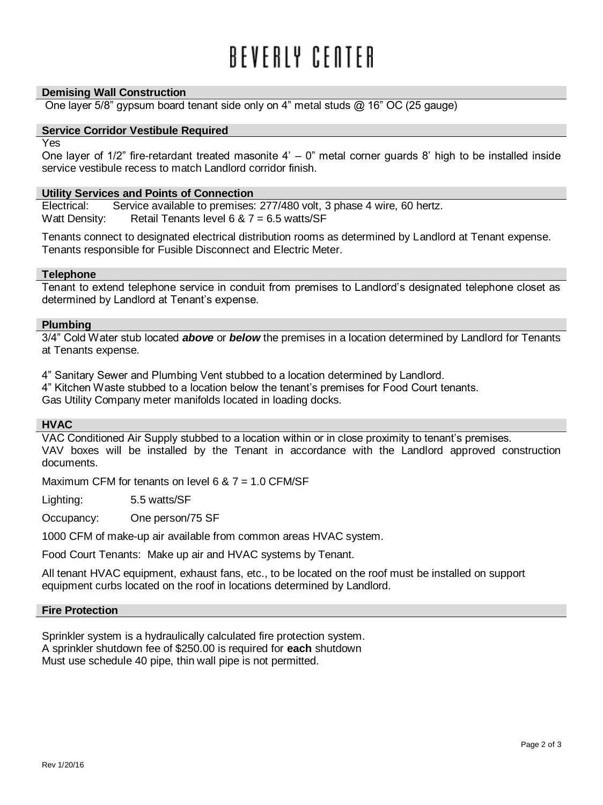# RFVFRIY CFNTFR

#### **Demising Wall Construction**

One layer  $5/8$ " gypsum board tenant side only on 4" metal studs  $@$  16" OC (25 gauge)

### **Service Corridor Vestibule Required**

Yes

One layer of  $1/2$ " fire-retardant treated masonite  $4' - 0$ " metal corner guards 8' high to be installed inside service vestibule recess to match Landlord corridor finish.

#### **Utility Services and Points of Connection**

Electrical: Service available to premises: 277/480 volt, 3 phase 4 wire, 60 hertz. Watt Density: Retail Tenants level 6  $& 7 = 6.5$  watts/SF

Tenants connect to designated electrical distribution rooms as determined by Landlord at Tenant expense. Tenants responsible for Fusible Disconnect and Electric Meter.

#### **Telephone**

Tenant to extend telephone service in conduit from premises to Landlord's designated telephone closet as determined by Landlord at Tenant's expense.

#### **Plumbing**

3/4" Cold Water stub located *above* or *below* the premises in a location determined by Landlord for Tenants at Tenants expense.

4" Sanitary Sewer and Plumbing Vent stubbed to a location determined by Landlord.

4" Kitchen Waste stubbed to a location below the tenant's premises for Food Court tenants.

Gas Utility Company meter manifolds located in loading docks.

#### **HVAC**

VAC Conditioned Air Supply stubbed to a location within or in close proximity to tenant's premises. VAV boxes will be installed by the Tenant in accordance with the Landlord approved construction documents.

Maximum CFM for tenants on level 6  $& 7 = 1.0$  CFM/SF

Lighting: 5.5 watts/SF

Occupancy: One person/75 SF

1000 CFM of make-up air available from common areas HVAC system.

Food Court Tenants: Make up air and HVAC systems by Tenant.

All tenant HVAC equipment, exhaust fans, etc., to be located on the roof must be installed on support equipment curbs located on the roof in locations determined by Landlord.

#### **Fire Protection**

Sprinkler system is a hydraulically calculated fire protection system. A sprinkler shutdown fee of \$250.00 is required for **each** shutdown Must use schedule 40 pipe, thin wall pipe is not permitted.